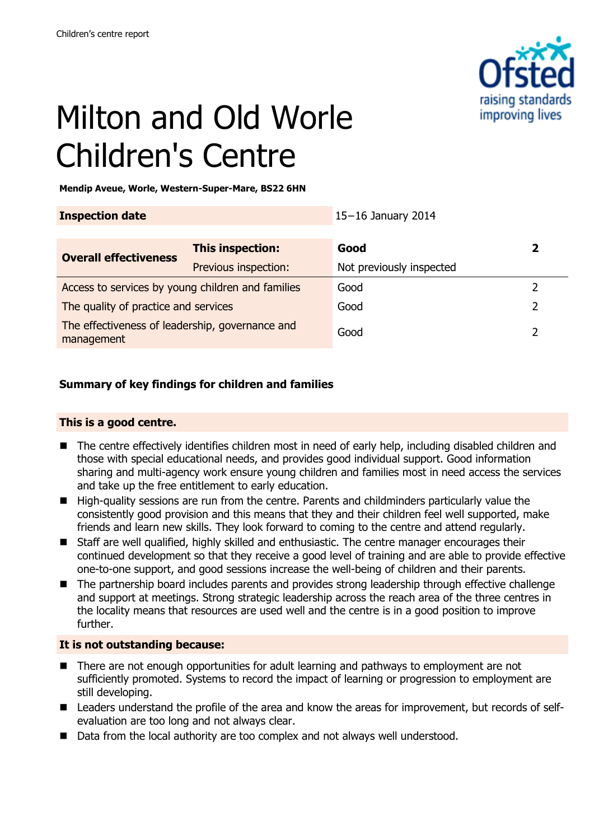

# Milton and Old Worle Children's Centre

**Mendip Aveue, Worle, Western-Super-Mare, BS22 6HN**

| <b>Inspection date</b>                                        |                      | $15-16$ January 2014     |   |
|---------------------------------------------------------------|----------------------|--------------------------|---|
| <b>Overall effectiveness</b>                                  | This inspection:     | Good                     | 2 |
|                                                               | Previous inspection: | Not previously inspected |   |
| Access to services by young children and families             |                      | Good                     |   |
| The quality of practice and services                          |                      | Good                     |   |
| The effectiveness of leadership, governance and<br>management |                      | Good                     |   |

# **Summary of key findings for children and families**

# **This is a good centre.**

- The centre effectively identifies children most in need of early help, including disabled children and those with special educational needs, and provides good individual support. Good information sharing and multi-agency work ensure young children and families most in need access the services and take up the free entitlement to early education.
- High-quality sessions are run from the centre. Parents and childminders particularly value the consistently good provision and this means that they and their children feel well supported, make friends and learn new skills. They look forward to coming to the centre and attend regularly.
- Staff are well qualified, highly skilled and enthusiastic. The centre manager encourages their continued development so that they receive a good level of training and are able to provide effective one-to-one support, and good sessions increase the well-being of children and their parents.
- The partnership board includes parents and provides strong leadership through effective challenge and support at meetings. Strong strategic leadership across the reach area of the three centres in the locality means that resources are used well and the centre is in a good position to improve further.

#### **It is not outstanding because:**

- There are not enough opportunities for adult learning and pathways to employment are not sufficiently promoted. Systems to record the impact of learning or progression to employment are still developing.
- Leaders understand the profile of the area and know the areas for improvement, but records of selfevaluation are too long and not always clear.
- Data from the local authority are too complex and not always well understood.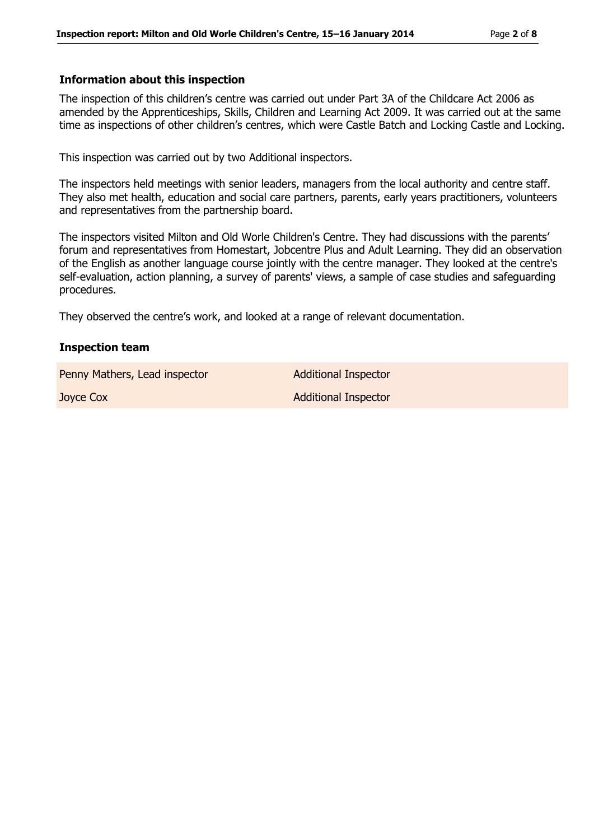### **Information about this inspection**

The inspection of this children's centre was carried out under Part 3A of the Childcare Act 2006 as amended by the Apprenticeships, Skills, Children and Learning Act 2009. It was carried out at the same time as inspections of other children's centres, which were Castle Batch and Locking Castle and Locking.

This inspection was carried out by two Additional inspectors.

The inspectors held meetings with senior leaders, managers from the local authority and centre staff. They also met health, education and social care partners, parents, early years practitioners, volunteers and representatives from the partnership board.

The inspectors visited Milton and Old Worle Children's Centre. They had discussions with the parents' forum and representatives from Homestart, Jobcentre Plus and Adult Learning. They did an observation of the English as another language course jointly with the centre manager. They looked at the centre's self-evaluation, action planning, a survey of parents' views, a sample of case studies and safeguarding procedures.

They observed the centre's work, and looked at a range of relevant documentation.

#### **Inspection team**

Penny Mathers, Lead inspector **Additional Inspector** 

**Joyce Cox Additional Inspector**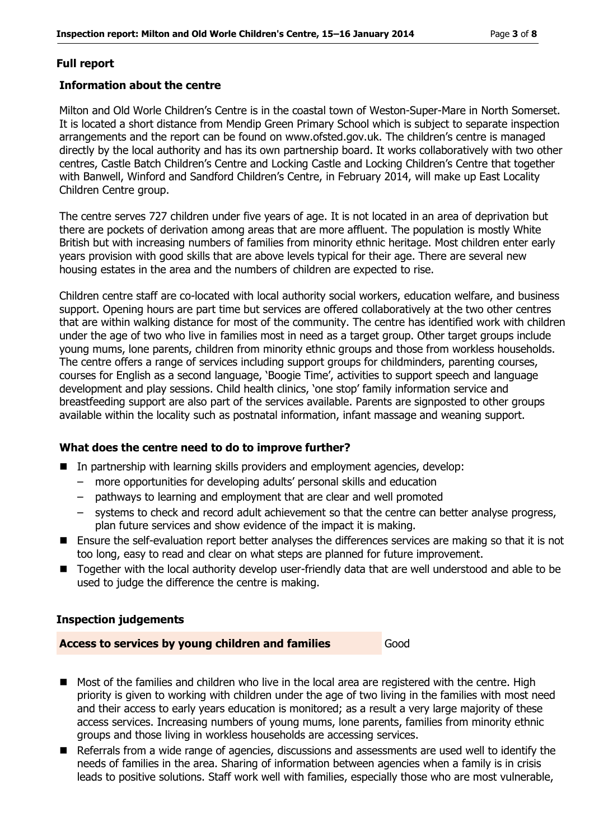# **Full report**

#### **Information about the centre**

Milton and Old Worle Children's Centre is in the coastal town of Weston-Super-Mare in North Somerset. It is located a short distance from Mendip Green Primary School which is subject to separate inspection arrangements and the report can be found on www.ofsted.gov.uk. The children's centre is managed directly by the local authority and has its own partnership board. It works collaboratively with two other centres, Castle Batch Children's Centre and Locking Castle and Locking Children's Centre that together with Banwell, Winford and Sandford Children's Centre, in February 2014, will make up East Locality Children Centre group.

The centre serves 727 children under five years of age. It is not located in an area of deprivation but there are pockets of derivation among areas that are more affluent. The population is mostly White British but with increasing numbers of families from minority ethnic heritage. Most children enter early years provision with good skills that are above levels typical for their age. There are several new housing estates in the area and the numbers of children are expected to rise.

Children centre staff are co-located with local authority social workers, education welfare, and business support. Opening hours are part time but services are offered collaboratively at the two other centres that are within walking distance for most of the community. The centre has identified work with children under the age of two who live in families most in need as a target group. Other target groups include young mums, lone parents, children from minority ethnic groups and those from workless households. The centre offers a range of services including support groups for childminders, parenting courses, courses for English as a second language, 'Boogie Time', activities to support speech and language development and play sessions. Child health clinics, 'one stop' family information service and breastfeeding support are also part of the services available. Parents are signposted to other groups available within the locality such as postnatal information, infant massage and weaning support.

#### **What does the centre need to do to improve further?**

- In partnership with learning skills providers and employment agencies, develop:
	- more opportunities for developing adults' personal skills and education
	- pathways to learning and employment that are clear and well promoted
	- systems to check and record adult achievement so that the centre can better analyse progress, plan future services and show evidence of the impact it is making.
- Ensure the self-evaluation report better analyses the differences services are making so that it is not too long, easy to read and clear on what steps are planned for future improvement.
- Together with the local authority develop user-friendly data that are well understood and able to be used to judge the difference the centre is making.

#### **Inspection judgements**

#### **Access to services by young children and families** Good

- Most of the families and children who live in the local area are registered with the centre. High priority is given to working with children under the age of two living in the families with most need and their access to early years education is monitored; as a result a very large majority of these access services. Increasing numbers of young mums, lone parents, families from minority ethnic groups and those living in workless households are accessing services.
- Referrals from a wide range of agencies, discussions and assessments are used well to identify the needs of families in the area. Sharing of information between agencies when a family is in crisis leads to positive solutions. Staff work well with families, especially those who are most vulnerable,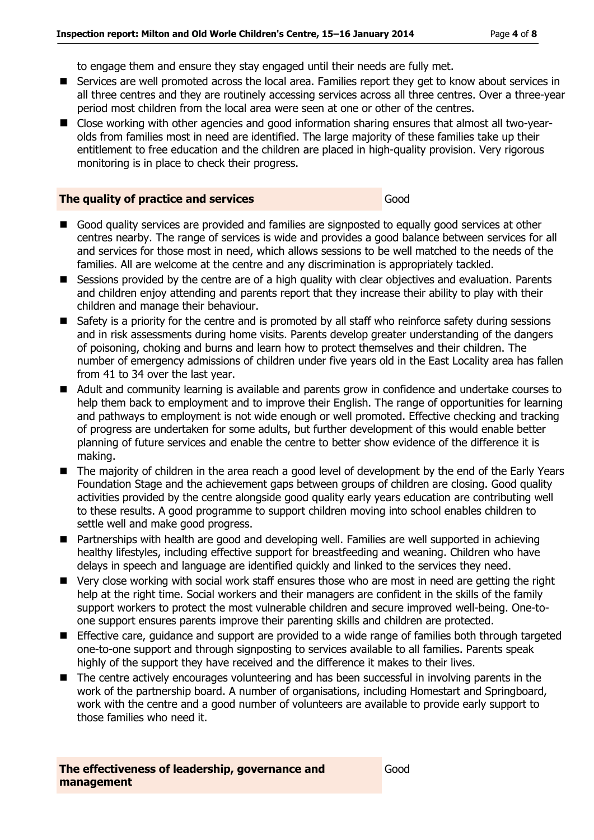to engage them and ensure they stay engaged until their needs are fully met.

- Services are well promoted across the local area. Families report they get to know about services in all three centres and they are routinely accessing services across all three centres. Over a three-year period most children from the local area were seen at one or other of the centres.
- Close working with other agencies and good information sharing ensures that almost all two-vearolds from families most in need are identified. The large majority of these families take up their entitlement to free education and the children are placed in high-quality provision. Very rigorous monitoring is in place to check their progress.

#### **The quality of practice and services** Good

- Good quality services are provided and families are signposted to equally good services at other centres nearby. The range of services is wide and provides a good balance between services for all and services for those most in need, which allows sessions to be well matched to the needs of the families. All are welcome at the centre and any discrimination is appropriately tackled.
- Sessions provided by the centre are of a high quality with clear objectives and evaluation. Parents and children enjoy attending and parents report that they increase their ability to play with their children and manage their behaviour.
- Safety is a priority for the centre and is promoted by all staff who reinforce safety during sessions and in risk assessments during home visits. Parents develop greater understanding of the dangers of poisoning, choking and burns and learn how to protect themselves and their children. The number of emergency admissions of children under five years old in the East Locality area has fallen from 41 to 34 over the last year.
- Adult and community learning is available and parents grow in confidence and undertake courses to help them back to employment and to improve their English. The range of opportunities for learning and pathways to employment is not wide enough or well promoted. Effective checking and tracking of progress are undertaken for some adults, but further development of this would enable better planning of future services and enable the centre to better show evidence of the difference it is making.
- The majority of children in the area reach a good level of development by the end of the Early Years Foundation Stage and the achievement gaps between groups of children are closing. Good quality activities provided by the centre alongside good quality early years education are contributing well to these results. A good programme to support children moving into school enables children to settle well and make good progress.
- Partnerships with health are good and developing well. Families are well supported in achieving healthy lifestyles, including effective support for breastfeeding and weaning. Children who have delays in speech and language are identified quickly and linked to the services they need.
- Very close working with social work staff ensures those who are most in need are getting the right help at the right time. Social workers and their managers are confident in the skills of the family support workers to protect the most vulnerable children and secure improved well-being. One-toone support ensures parents improve their parenting skills and children are protected.
- **Effective care, guidance and support are provided to a wide range of families both through targeted** one-to-one support and through signposting to services available to all families. Parents speak highly of the support they have received and the difference it makes to their lives.
- The centre actively encourages volunteering and has been successful in involving parents in the work of the partnership board. A number of organisations, including Homestart and Springboard, work with the centre and a good number of volunteers are available to provide early support to those families who need it.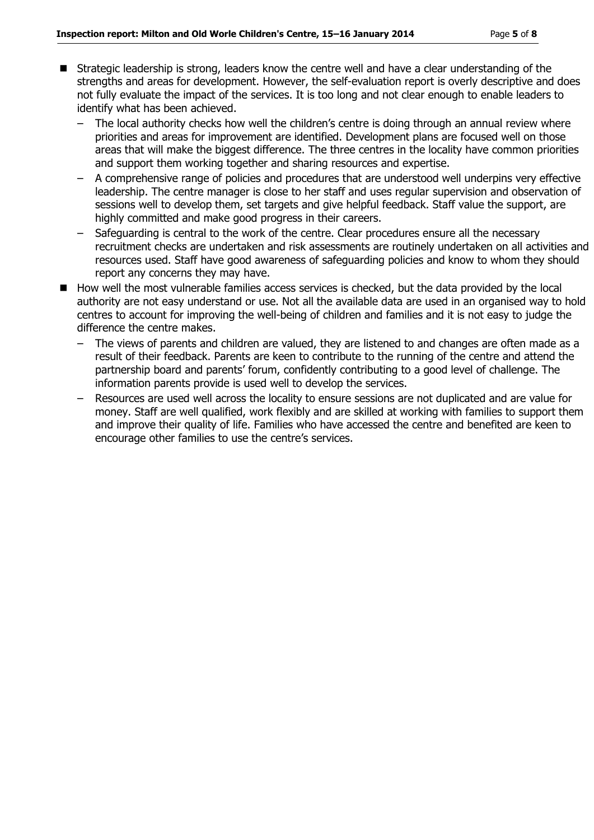- Strategic leadership is strong, leaders know the centre well and have a clear understanding of the strengths and areas for development. However, the self-evaluation report is overly descriptive and does not fully evaluate the impact of the services. It is too long and not clear enough to enable leaders to identify what has been achieved.
	- The local authority checks how well the children's centre is doing through an annual review where priorities and areas for improvement are identified. Development plans are focused well on those areas that will make the biggest difference. The three centres in the locality have common priorities and support them working together and sharing resources and expertise.
	- A comprehensive range of policies and procedures that are understood well underpins very effective leadership. The centre manager is close to her staff and uses regular supervision and observation of sessions well to develop them, set targets and give helpful feedback. Staff value the support, are highly committed and make good progress in their careers.
	- Safeguarding is central to the work of the centre. Clear procedures ensure all the necessary recruitment checks are undertaken and risk assessments are routinely undertaken on all activities and resources used. Staff have good awareness of safeguarding policies and know to whom they should report any concerns they may have.
- How well the most vulnerable families access services is checked, but the data provided by the local authority are not easy understand or use. Not all the available data are used in an organised way to hold centres to account for improving the well-being of children and families and it is not easy to judge the difference the centre makes.
	- The views of parents and children are valued, they are listened to and changes are often made as a result of their feedback. Parents are keen to contribute to the running of the centre and attend the partnership board and parents' forum, confidently contributing to a good level of challenge. The information parents provide is used well to develop the services.
	- Resources are used well across the locality to ensure sessions are not duplicated and are value for money. Staff are well qualified, work flexibly and are skilled at working with families to support them and improve their quality of life. Families who have accessed the centre and benefited are keen to encourage other families to use the centre's services.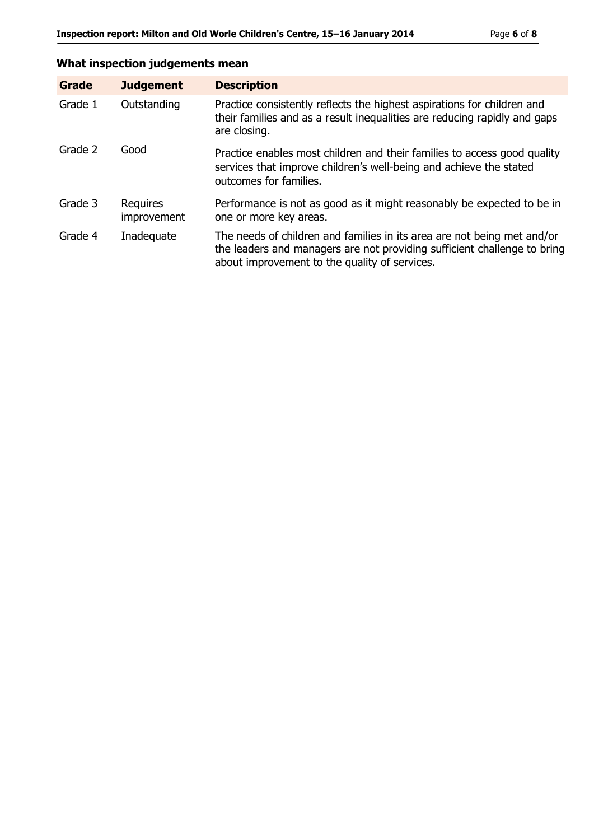# **What inspection judgements mean**

| Grade   | <b>Judgement</b>               | <b>Description</b>                                                                                                                                                                                   |
|---------|--------------------------------|------------------------------------------------------------------------------------------------------------------------------------------------------------------------------------------------------|
| Grade 1 | Outstanding                    | Practice consistently reflects the highest aspirations for children and<br>their families and as a result inequalities are reducing rapidly and gaps<br>are closing.                                 |
| Grade 2 | Good                           | Practice enables most children and their families to access good quality<br>services that improve children's well-being and achieve the stated<br>outcomes for families.                             |
| Grade 3 | <b>Requires</b><br>improvement | Performance is not as good as it might reasonably be expected to be in<br>one or more key areas.                                                                                                     |
| Grade 4 | Inadequate                     | The needs of children and families in its area are not being met and/or<br>the leaders and managers are not providing sufficient challenge to bring<br>about improvement to the quality of services. |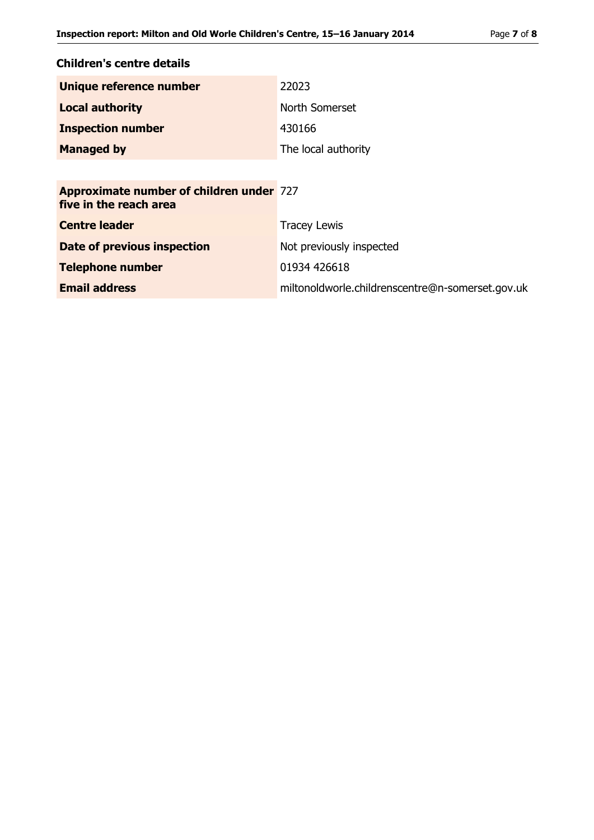| Children's centre details                                                 |                                                  |
|---------------------------------------------------------------------------|--------------------------------------------------|
| Unique reference number                                                   | 22023                                            |
| <b>Local authority</b>                                                    | North Somerset                                   |
| <b>Inspection number</b>                                                  | 430166                                           |
| <b>Managed by</b>                                                         | The local authority                              |
|                                                                           |                                                  |
| <b>Approximate number of children under 727</b><br>five in the reach area |                                                  |
| <b>Centre leader</b>                                                      | <b>Tracey Lewis</b>                              |
| <b>Date of previous inspection</b>                                        | Not previously inspected                         |
| <b>Telephone number</b>                                                   | 01934 426618                                     |
| <b>Email address</b>                                                      | miltonoldworle.childrenscentre@n-somerset.gov.uk |
|                                                                           |                                                  |